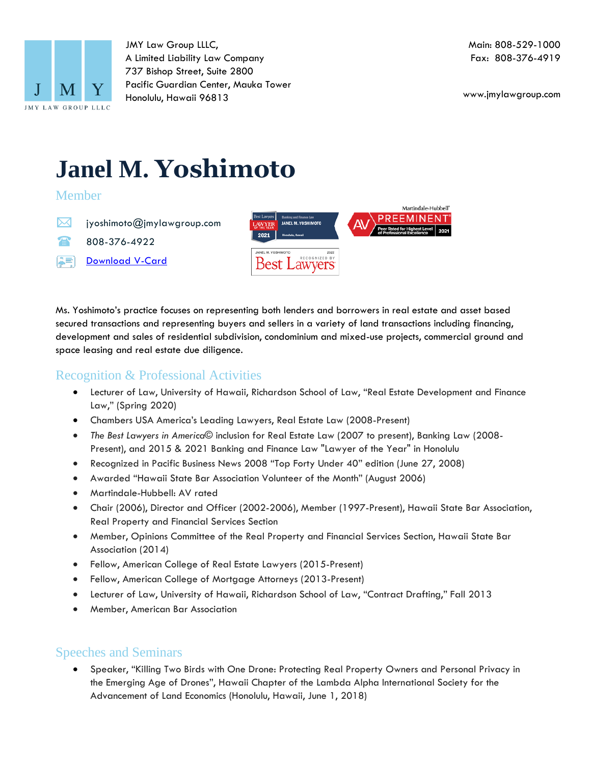

JMY Law Group LLLC, A Limited Liability Law Company 737 Bishop Street, Suite 2800 Pacific Guardian Center, Mauka Tower Honolulu, Hawaii 96813

www.jmylawgroup.com

# **Janel M. Yoshimoto**

#### Member

- ⊠ jyoshimoto@jmylawgroup.com
- $\blacksquare$ 808-376-4922
- A=1 [Download](https://1drv.ms/u/s!As5GxtEgaOgIqmGpVX5Wd9ZDlrC4?e=eKSXv9) V-Card



Ms. Yoshimoto's practice focuses on representing both lenders and borrowers in real estate and asset based secured transactions and representing buyers and sellers in a variety of land transactions including financing, development and sales of residential subdivision, condominium and mixed-use projects, commercial ground and space leasing and real estate due diligence.

# Recognition & Professional Activities

- Lecturer of Law, University of Hawaii, Richardson School of Law, "Real Estate Development and Finance Law," (Spring 2020)
- Chambers USA America's Leading Lawyers, Real Estate Law (2008-Present)
- *The Best Lawyers in America*© inclusion for Real Estate Law (2007 to present), Banking Law (2008- Present), and 2015 & 2021 Banking and Finance Law "Lawyer of the Year" in Honolulu
- Recognized in Pacific Business News 2008 "Top Forty Under 40" edition (June 27, 2008)
- Awarded "Hawaii State Bar Association Volunteer of the Month" (August 2006)
- Martindale-Hubbell: AV rated
- Chair (2006), Director and Officer (2002-2006), Member (1997-Present), Hawaii State Bar Association, Real Property and Financial Services Section
- Member, Opinions Committee of the Real Property and Financial Services Section, Hawaii State Bar Association (2014)
- Fellow, American College of Real Estate Lawyers (2015-Present)
- Fellow, American College of Mortgage Attorneys (2013-Present)
- Lecturer of Law, University of Hawaii, Richardson School of Law, "Contract Drafting," Fall 2013
- Member, American Bar Association

### Speeches and Seminars

• Speaker, "Killing Two Birds with One Drone: Protecting Real Property Owners and Personal Privacy in the Emerging Age of Drones", Hawaii Chapter of the Lambda Alpha International Society for the Advancement of Land Economics (Honolulu, Hawaii, June 1, 2018)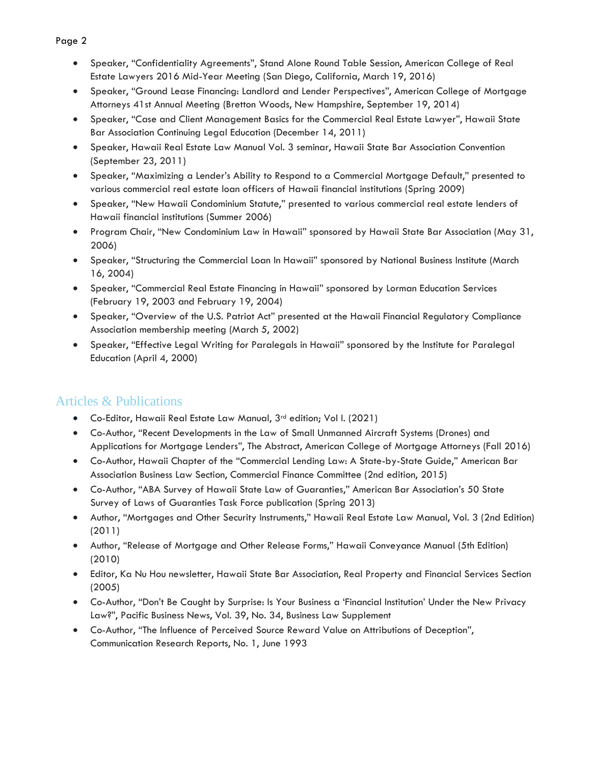- Page 2
	- Speaker, "Confidentiality Agreements", Stand Alone Round Table Session, American College of Real Estate Lawyers 2016 Mid-Year Meeting (San Diego, California, March 19, 2016)
	- Speaker, "Ground Lease Financing: Landlord and Lender Perspectives", American College of Mortgage Attorneys 41st Annual Meeting (Bretton Woods, New Hampshire, September 19, 2014)
	- Speaker, "Case and Client Management Basics for the Commercial Real Estate Lawyer", Hawaii State Bar Association Continuing Legal Education (December 14, 2011)
	- Speaker, Hawaii Real Estate Law Manual Vol. 3 seminar, Hawaii State Bar Association Convention (September 23, 2011)
	- Speaker, "Maximizing a Lender's Ability to Respond to a Commercial Mortgage Default," presented to various commercial real estate loan officers of Hawaii financial institutions (Spring 2009)
	- Speaker, "New Hawaii Condominium Statute," presented to various commercial real estate lenders of Hawaii financial institutions (Summer 2006)
	- Program Chair, "New Condominium Law in Hawaii" sponsored by Hawaii State Bar Association (May 31, 2006)
	- Speaker, "Structuring the Commercial Loan In Hawaii" sponsored by National Business Institute (March 16, 2004)
	- Speaker, "Commercial Real Estate Financing in Hawaii" sponsored by Lorman Education Services (February 19, 2003 and February 19, 2004)
	- Speaker, "Overview of the U.S. Patriot Act" presented at the Hawaii Financial Regulatory Compliance Association membership meeting (March 5, 2002)
	- Speaker, "Effective Legal Writing for Paralegals in Hawaii" sponsored by the Institute for Paralegal Education (April 4, 2000)

## Articles & Publications

- Co-Editor, Hawaii Real Estate Law Manual, 3<sup>rd</sup> edition; Vol I. (2021)
- Co-Author, "Recent Developments in the Law of Small Unmanned Aircraft Systems (Drones) and Applications for Mortgage Lenders", The Abstract, American College of Mortgage Attorneys (Fall 2016)
- Co-Author, Hawaii Chapter of the "Commercial Lending Law: A State-by-State Guide," American Bar Association Business Law Section, Commercial Finance Committee (2nd edition, 2015)
- Co-Author, "ABA Survey of Hawaii State Law of Guaranties," American Bar Association's 50 State Survey of Laws of Guaranties Task Force publication (Spring 2013)
- Author, "Mortgages and Other Security Instruments," Hawaii Real Estate Law Manual, Vol. 3 (2nd Edition) (2011)
- Author, "Release of Mortgage and Other Release Forms," Hawaii Conveyance Manual (5th Edition) (2010)
- Editor, Ka Nu Hou newsletter, Hawaii State Bar Association, Real Property and Financial Services Section (2005)
- Co-Author, "Don't Be Caught by Surprise: Is Your Business a 'Financial Institution' Under the New Privacy Law?", Pacific Business News, Vol. 39, No. 34, Business Law Supplement
- Co-Author, "The Influence of Perceived Source Reward Value on Attributions of Deception", Communication Research Reports, No. 1, June 1993